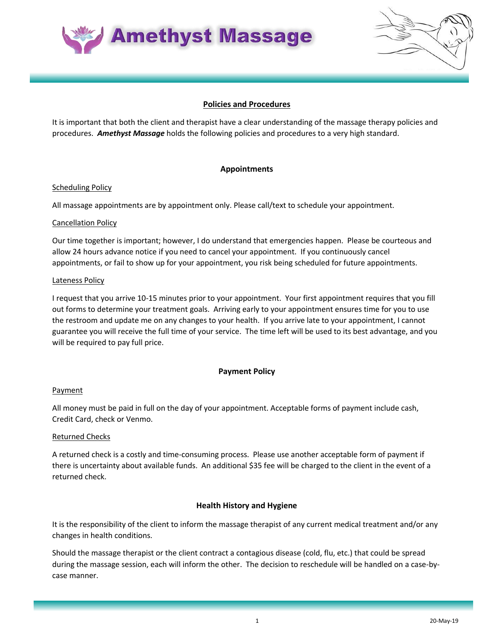

## **Policies and Procedures**

It is important that both the client and therapist have a clear understanding of the massage therapy policies and procedures. *Amethyst Massage* holds the following policies and procedures to a very high standard.

## **Appointments**

#### Scheduling Policy

All massage appointments are by appointment only. Please call/text to schedule your appointment.

#### Cancellation Policy

Our time together is important; however, I do understand that emergencies happen. Please be courteous and allow 24 hours advance notice if you need to cancel your appointment. If you continuously cancel appointments, or fail to show up for your appointment, you risk being scheduled for future appointments.

#### Lateness Policy

I request that you arrive 10-15 minutes prior to your appointment. Your first appointment requires that you fill out forms to determine your treatment goals. Arriving early to your appointment ensures time for you to use the restroom and update me on any changes to your health. If you arrive late to your appointment, I cannot guarantee you will receive the full time of your service. The time left will be used to its best advantage, and you will be required to pay full price.

### **Payment Policy**

### **Payment**

All money must be paid in full on the day of your appointment. Acceptable forms of payment include cash, Credit Card, check or Venmo.

### Returned Checks

A returned check is a costly and time-consuming process. Please use another acceptable form of payment if there is uncertainty about available funds. An additional \$35 fee will be charged to the client in the event of a returned check.

### **Health History and Hygiene**

It is the responsibility of the client to inform the massage therapist of any current medical treatment and/or any changes in health conditions.

Should the massage therapist or the client contract a contagious disease (cold, flu, etc.) that could be spread during the massage session, each will inform the other. The decision to reschedule will be handled on a case-bycase manner.